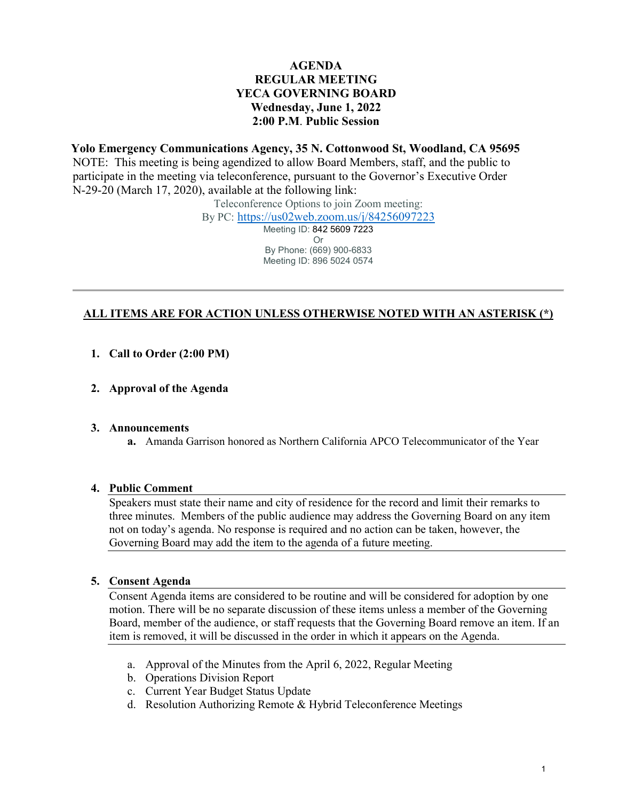# **AGENDA REGULAR MEETING YECA GOVERNING BOARD Wednesday, June 1, 2022 2:00 P.M**. **Public Session**

**Yolo Emergency Communications Agency, 35 N. Cottonwood St, Woodland, CA 95695**  NOTE: This meeting is being agendized to allow Board Members, staff, and the public to participate in the meeting via teleconference, pursuant to the Governor's Executive Order N-29-20 (March 17, 2020), available at the following link:

Teleconference Options to join Zoom meeting:

By PC: <https://us02web.zoom.us/j/84256097223>

Meeting ID: 842 5609 7223 Or By Phone: (669) 900-6833 Meeting ID: 896 5024 0574

# **ALL ITEMS ARE FOR ACTION UNLESS OTHERWISE NOTED WITH AN ASTERISK (\*)**

- **1. Call to Order (2:00 PM)**
- **2. Approval of the Agenda**

### **3. Announcements**

**a.** Amanda Garrison honored as Northern California APCO Telecommunicator of the Year

### **4. Public Comment**

Speakers must state their name and city of residence for the record and limit their remarks to three minutes. Members of the public audience may address the Governing Board on any item not on today's agenda. No response is required and no action can be taken, however, the Governing Board may add the item to the agenda of a future meeting.

### **5. Consent Agenda**

Consent Agenda items are considered to be routine and will be considered for adoption by one motion. There will be no separate discussion of these items unless a member of the Governing Board, member of the audience, or staff requests that the Governing Board remove an item. If an item is removed, it will be discussed in the order in which it appears on the Agenda.

- a. Approval of the Minutes from the April 6, 2022, Regular Meeting
- b. Operations Division Report
- c. Current Year Budget Status Update
- d. Resolution Authorizing Remote & Hybrid Teleconference Meetings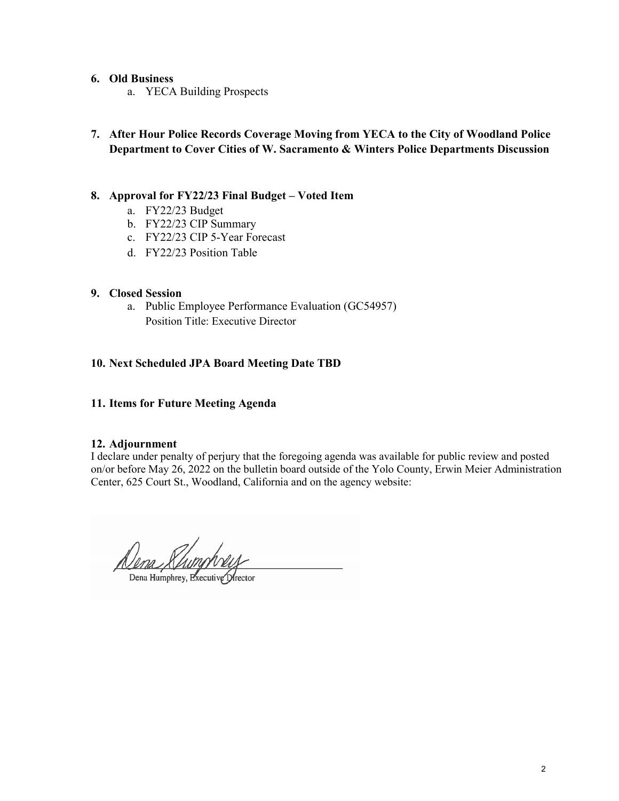## **6. Old Business**

- a. YECA Building Prospects
- **7. After Hour Police Records Coverage Moving from YECA to the City of Woodland Police Department to Cover Cities of W. Sacramento & Winters Police Departments Discussion**

## **8. Approval for FY22/23 Final Budget – Voted Item**

- a. FY22/23 Budget
- b. FY22/23 CIP Summary
- c. FY22/23 CIP 5-Year Forecast
- d. FY22/23 Position Table

## **9. Closed Session**

a. Public Employee Performance Evaluation (GC54957) Position Title: Executive Director

## **10. Next Scheduled JPA Board Meeting Date TBD**

**11. Items for Future Meeting Agenda**

## **12. Adjournment**

I declare under penalty of perjury that the foregoing agenda was available for public review and posted on/or before May 26, 2022 on the bulletin board outside of the Yolo County, Erwin Meier Administration Center, 625 Court St., Woodland, California and on the agency website:

Dena Khing

Dena Humphrey, Executive Director